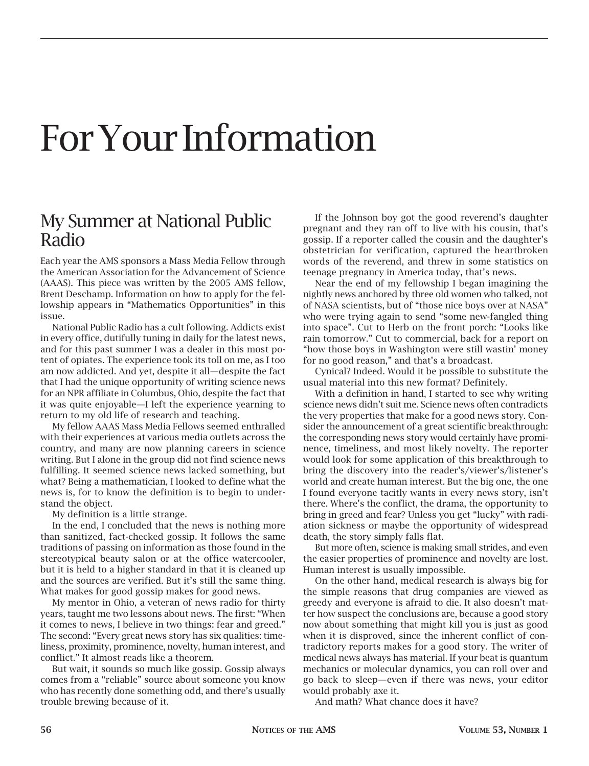## For Your Information

## My Summer at National Public Radio

Each year the AMS sponsors a Mass Media Fellow through the American Association for the Advancement of Science (AAAS). This piece was written by the 2005 AMS fellow, Brent Deschamp. Information on how to apply for the fellowship appears in "Mathematics Opportunities" in this issue.

National Public Radio has a cult following. Addicts exist in every office, dutifully tuning in daily for the latest news, and for this past summer I was a dealer in this most potent of opiates. The experience took its toll on me, as I too am now addicted. And yet, despite it all—despite the fact that I had the unique opportunity of writing science news for an NPR affiliate in Columbus, Ohio, despite the fact that it was quite enjoyable—I left the experience yearning to return to my old life of research and teaching.

My fellow AAAS Mass Media Fellows seemed enthralled with their experiences at various media outlets across the country, and many are now planning careers in science writing. But I alone in the group did not find science news fulfilling. It seemed science news lacked something, but what? Being a mathematician, I looked to define what the news is, for to know the definition is to begin to understand the object.

My definition is a little strange.

In the end, I concluded that the news is nothing more than sanitized, fact-checked gossip. It follows the same traditions of passing on information as those found in the stereotypical beauty salon or at the office watercooler, but it is held to a higher standard in that it is cleaned up and the sources are verified. But it's still the same thing. What makes for good gossip makes for good news.

My mentor in Ohio, a veteran of news radio for thirty years, taught me two lessons about news. The first: "When it comes to news, I believe in two things: fear and greed." The second: "Every great news story has six qualities: timeliness, proximity, prominence, novelty, human interest, and conflict." It almost reads like a theorem.

But wait, it sounds so much like gossip. Gossip always comes from a "reliable" source about someone you know who has recently done something odd, and there's usually trouble brewing because of it.

If the Johnson boy got the good reverend's daughter pregnant and they ran off to live with his cousin, that's gossip. If a reporter called the cousin and the daughter's obstetrician for verification, captured the heartbroken words of the reverend, and threw in some statistics on teenage pregnancy in America today, that's news.

Near the end of my fellowship I began imagining the nightly news anchored by three old women who talked, not of NASA scientists, but of "those nice boys over at NASA" who were trying again to send "some new-fangled thing into space". Cut to Herb on the front porch: "Looks like rain tomorrow." Cut to commercial, back for a report on "how those boys in Washington were still wastin' money for no good reason," and that's a broadcast.

Cynical? Indeed. Would it be possible to substitute the usual material into this new format? Definitely.

With a definition in hand, I started to see why writing science news didn't suit me. Science news often contradicts the very properties that make for a good news story. Consider the announcement of a great scientific breakthrough: the corresponding news story would certainly have prominence, timeliness, and most likely novelty. The reporter would look for some application of this breakthrough to bring the discovery into the reader's/viewer's/listener's world and create human interest. But the big one, the one I found everyone tacitly wants in every news story, isn't there. Where's the conflict, the drama, the opportunity to bring in greed and fear? Unless you get "lucky" with radiation sickness or maybe the opportunity of widespread death, the story simply falls flat.

But more often, science is making small strides, and even the easier properties of prominence and novelty are lost. Human interest is usually impossible.

On the other hand, medical research is always big for the simple reasons that drug companies are viewed as greedy and everyone is afraid to die. It also doesn't matter how suspect the conclusions are, because a good story now about something that might kill you is just as good when it is disproved, since the inherent conflict of contradictory reports makes for a good story. The writer of medical news always has material. If your beat is quantum mechanics or molecular dynamics, you can roll over and go back to sleep—even if there was news, your editor would probably axe it.

And math? What chance does it have?